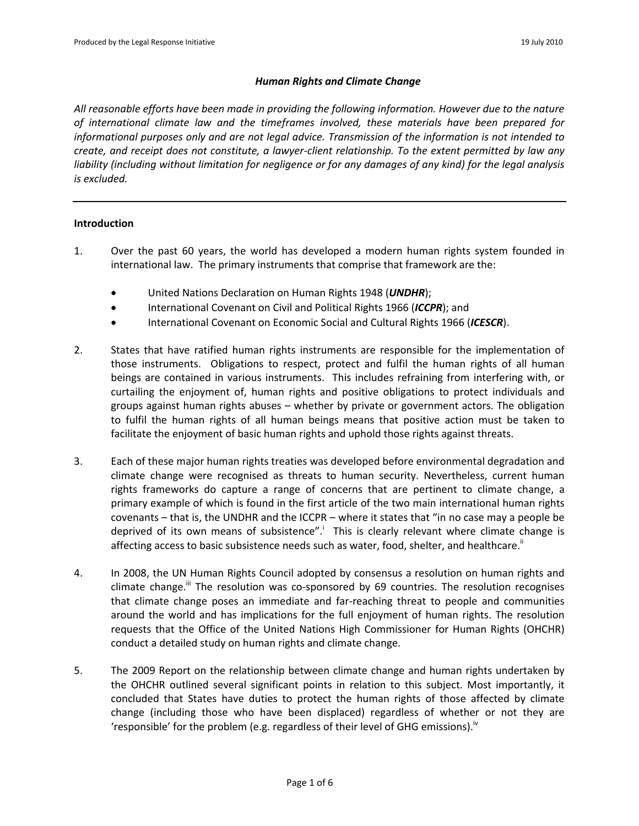### *Human Rights and Climate Change*

*All reasonable efforts have been made in providing the following information. However due to the nature of international climate law and the timeframes involved, these materials have been prepared for informational purposes only and are not legal advice. Transmission of the information is not intended to create, and receipt does not constitute, a lawyer-client relationship. To the extent permitted by law any liability (including without limitation for negligence or for any damages of any kind) for the legal analysis is excluded.*

## **Introduction**

- 1. Over the past 60 years, the world has developed a modern human rights system founded in international law. The primary instruments that comprise that framework are the:
	- United Nations Declaration on Human Rights 1948 (*UNDHR*);
	- International Covenant on Civil and Political Rights 1966 (*ICCPR*); and
	- International Covenant on Economic Social and Cultural Rights 1966 (*ICESCR*).
- 2. States that have ratified human rights instruments are responsible for the implementation of those instruments. Obligations to respect, protect and fulfil the human rights of all human beings are contained in various instruments. This includes refraining from interfering with, or curtailing the enjoyment of, human rights and positive obligations to protect individuals and groups against human rights abuses – whether by private or government actors. The obligation to fulfil the human rights of all human beings means that positive action must be taken to facilitate the enjoyment of basic human rights and uphold those rights against threats.
- 3. Each of these major human rights treaties was developed before environmental degradation and climate change were recognised as threats to human security. Nevertheless, current human rights frameworks do capture a range of concerns that are pertinent to climate change, a primary example of which is found in the first article of the two main international human rights covenants – that is, the UNDHR and the ICCPR – where it states that "in no case may a people be deprived of its own means of subsistence".<sup>i</sup> This is clearly relevant where climate change is affecting access to basic subsistence needs such as water, food, shelter, and healthcare.<sup>ii</sup>
- 4. In 2008, the UN Human Rights Council adopted by consensus a [resolution](http://ap.ohchr.org/documents/dpage_e.aspx?si=A/HRC/7/L.21/Rev.1) on human rights and climate change. $\mathbf{u}$  The resolution was co-sponsored by 69 countries. The resolution recognises that climate change poses an immediate and far-reaching threat to people and communities around the world and has implications for the full enjoyment of human rights. The resolution requests that the Office of the United Nations High Commissioner for Human Rights (OHCHR) conduct a detailed study on human rights and climate change.
- 5. The 2009 Report on the relationship between climate change and human rights undertaken by the OHCHR outlined several significant points in relation to this subject. Most importantly, it concluded that States have duties to protect the human rights of those affected by climate change (including those who have been displaced) regardless of whether or not they are 'responsible' for the problem (e.g. regardless of their level of GHG emissions).<sup>iv</sup>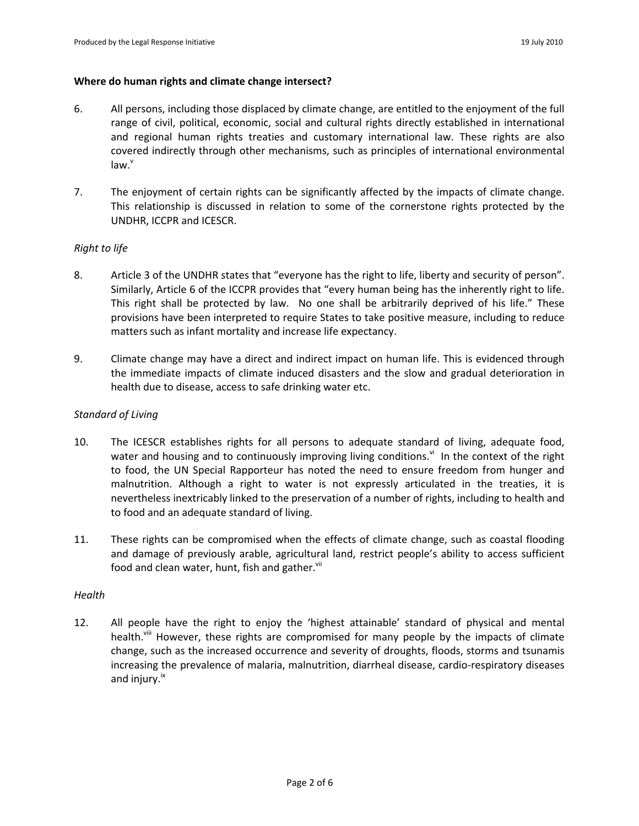#### **Where do human rights and climate change intersect?**

- 6. All persons, including those displaced by climate change, are entitled to the enjoyment of the full range of civil, political, economic, social and cultural rights directly established in international and regional human rights treaties and customary international law. These rights are also covered indirectly through other mechanisms, such as principles of international environmental  $law.$
- 7. The enjoyment of certain rights can be significantly affected by the impacts of climate change. This relationship is discussed in relation to some of the cornerstone rights protected by the UNDHR, ICCPR and ICESCR.

### *Right to life*

- 8. Article 3 of the UNDHR states that "everyone has the right to life, liberty and security of person". Similarly, Article 6 of the ICCPR provides that "every human being has the inherently right to life. This right shall be protected by law. No one shall be arbitrarily deprived of his life." These provisions have been interpreted to require States to take positive measure, including to reduce matters such as infant mortality and increase life expectancy.
- 9. Climate change may have a direct and indirect impact on human life. This is evidenced through the immediate impacts of climate induced disasters and the slow and gradual deterioration in health due to disease, access to safe drinking water etc.

### *Standard of Living*

- 10. The ICESCR establishes rights for all persons to adequate standard of living, adequate food, water and housing and to continuously improving living conditions.<sup>vi</sup> In the context of the right to food, the UN Special Rapporteur has noted the need to ensure freedom from hunger and malnutrition. Although a right to water is not expressly articulated in the treaties, it is nevertheless inextricably linked to the preservation of a number of rights, including to health and to food and an adequate standard of living.
- 11. These rights can be compromised when the effects of climate change, such as coastal flooding and damage of previously arable, agricultural land, restrict people's ability to access sufficient food and clean water, hunt, fish and gather.<sup>VII</sup>

### *Health*

12. All people have the right to enjoy the 'highest attainable' standard of physical and mental health.<sup>viii</sup> However, these rights are compromised for many people by the impacts of climate change, such as the increased occurrence and severity of droughts, floods, storms and tsunamis increasing the prevalence of malaria, malnutrition, diarrheal disease, cardio-respiratory diseases and injury.<sup>ix</sup>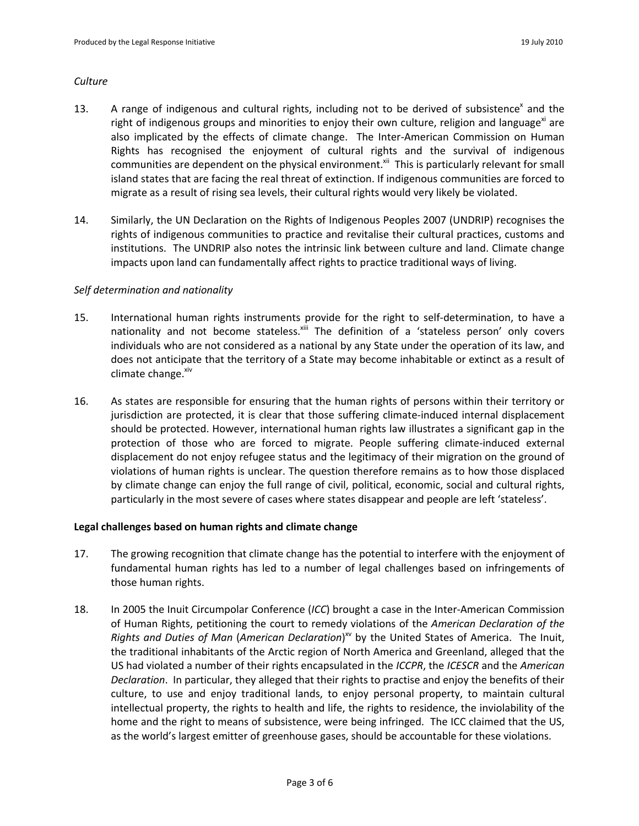### *Culture*

- 13. A range of indigenous and cultural rights, including not to be derived of subsistence<sup>x</sup> and the right of indigenous groups and minorities to enjoy their own culture, religion and language<sup>xi</sup> are also implicated by the effects of climate change. The Inter-American Commission on Human Rights has recognised the enjoyment of cultural rights and the survival of indigenous communities are dependent on the physical environment.<sup>xii</sup> This is particularly relevant for small island states that are facing the real threat of extinction. If indigenous communities are forced to migrate as a result of rising sea levels, their cultural rights would very likely be violated.
- 14. Similarly, the UN Declaration on the Rights of Indigenous Peoples 2007 (UNDRIP) recognises the rights of indigenous communities to practice and revitalise their cultural practices, customs and institutions. The UNDRIP also notes the intrinsic link between culture and land. Climate change impacts upon land can fundamentally affect rights to practice traditional ways of living.

# *Self determination and nationality*

- 15. International human rights instruments provide for the right to self-determination, to have a nationality and not become stateless. $x^{\text{iii}}$  The definition of a 'stateless person' only covers individuals who are not considered as a national by any State under the operation of its law, and does not anticipate that the territory of a State may become inhabitable or extinct as a result of climate change. $x^i$
- 16. As states are responsible for ensuring that the human rights of persons within their territory or jurisdiction are protected, it is clear that those suffering climate-induced internal displacement should be protected. However, international human rights law illustrates a significant gap in the protection of those who are forced to migrate. People suffering climate-induced external displacement do not enjoy refugee status and the legitimacy of their migration on the ground of violations of human rights is unclear. The question therefore remains as to how those displaced by climate change can enjoy the full range of civil, political, economic, social and cultural rights, particularly in the most severe of cases where states disappear and people are left 'stateless'.

# **Legal challenges based on human rights and climate change**

- 17. The growing recognition that climate change has the potential to interfere with the enjoyment of fundamental human rights has led to a number of legal challenges based on infringements of those human rights.
- 18. In 2005 the Inuit Circumpolar Conference (*ICC*) brought a case in the Inter-American Commission of Human Rights, petitioning the court to remedy violations of the *American Declaration of the*  Rights and Duties of Man (American Declaration)<sup>xv</sup> by the United States of America. The Inuit, the traditional inhabitants of the Arctic region of North America and Greenland, alleged that the US had violated a number of their rights encapsulated in the *ICCPR*, the *ICESCR* and the *American Declaration*. In particular, they alleged that their rights to practise and enjoy the benefits of their culture, to use and enjoy traditional lands, to enjoy personal property, to maintain cultural intellectual property, the rights to health and life, the rights to residence, the inviolability of the home and the right to means of subsistence, were being infringed. The ICC claimed that the US, as the world's largest emitter of greenhouse gases, should be accountable for these violations.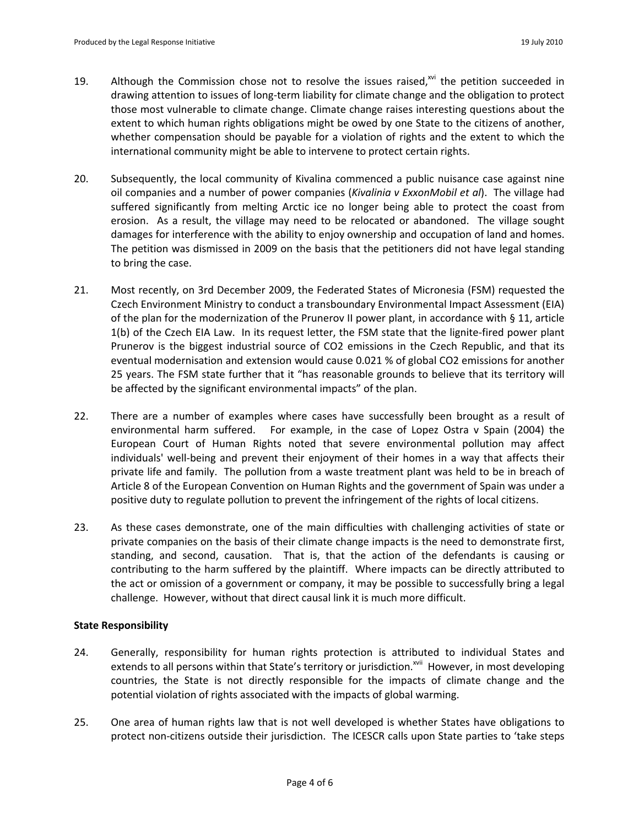- 19. Although the Commission chose not to resolve the issues raised, $x^{0}$  the petition succeeded in drawing attention to issues of long-term liability for climate change and the obligation to protect those most vulnerable to climate change. Climate change raises interesting questions about the extent to which human rights obligations might be owed by one State to the citizens of another, whether compensation should be payable for a violation of rights and the extent to which the international community might be able to intervene to protect certain rights.
- 20. Subsequently, the local community of Kivalina commenced a public nuisance case against nine oil companies and a number of power companies (*Kivalinia v ExxonMobil et al*). The village had suffered significantly from melting Arctic ice no longer being able to protect the coast from erosion. As a result, the village may need to be relocated or abandoned. The village sought damages for interference with the ability to enjoy ownership and occupation of land and homes. The petition was dismissed in 2009 on the basis that the petitioners did not have legal standing to bring the case.
- 21. Most recently, on 3rd December 2009, the Federated States of Micronesia (FSM) requested the Czech Environment Ministry to conduct a transboundary Environmental Impact Assessment (EIA) of the plan for the modernization of the Prunerov II power plant, in accordance with § 11, article 1(b) of the Czech EIA Law. In its request letter, the FSM state that the lignite-fired power plant Prunerov is the biggest industrial source of CO2 emissions in the Czech Republic, and that its eventual modernisation and extension would cause 0.021 % of global CO2 emissions for another 25 years. The FSM state further that it "has reasonable grounds to believe that its territory will be affected by the significant environmental impacts" of the plan.
- 22. There are a number of examples where cases have successfully been brought as a result of environmental harm suffered. For example, in the case of Lopez Ostra v Spain (2004) the European Court of Human Rights noted that severe environmental pollution may affect individuals' well-being and prevent their enjoyment of their homes in a way that affects their private life and family. The pollution from a waste treatment plant was held to be in breach of Article 8 of the European Convention on Human Rights and the government of Spain was under a positive duty to regulate pollution to prevent the infringement of the rights of local citizens.
- 23. As these cases demonstrate, one of the main difficulties with challenging activities of state or private companies on the basis of their climate change impacts is the need to demonstrate first, standing, and second, causation. That is, that the action of the defendants is causing or contributing to the harm suffered by the plaintiff. Where impacts can be directly attributed to the act or omission of a government or company, it may be possible to successfully bring a legal challenge. However, without that direct causal link it is much more difficult.

### **State Responsibility**

- 24. Generally, responsibility for human rights protection is attributed to individual States and extends to all persons within that State's territory or jurisdiction.<sup>xvii</sup> However, in most developing countries, the State is not directly responsible for the impacts of climate change and the potential violation of rights associated with the impacts of global warming.
- 25. One area of human rights law that is not well developed is whether States have obligations to protect non-citizens outside their jurisdiction. The ICESCR calls upon State parties to 'take steps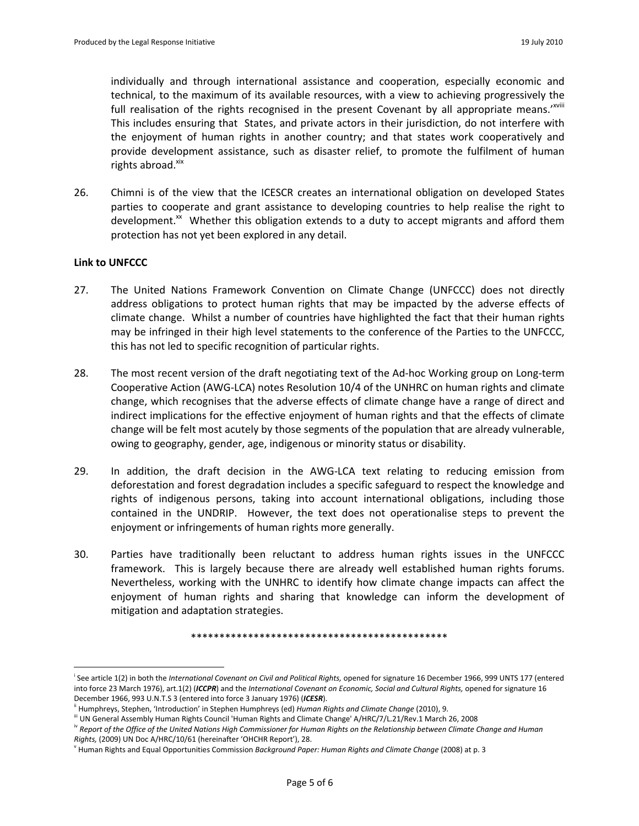individually and through international assistance and cooperation, especially economic and technical, to the maximum of its available resources, with a view to achieving progressively the full realisation of the rights recognised in the present Covenant by all appropriate means.<sup>'xviii</sup> This includes ensuring that States, and private actors in their jurisdiction, do not interfere with the enjoyment of human rights in another country; and that states work cooperatively and provide development assistance, such as disaster relief, to promote the fulfilment of human rights abroad. xix

26. Chimni is of the view that the ICESCR creates an international obligation on developed States parties to cooperate and grant assistance to developing countries to help realise the right to development.<sup>xx</sup> Whether this obligation extends to a duty to accept migrants and afford them protection has not yet been explored in any detail.

#### **Link to UNFCCC**

 $\overline{a}$ 

- 27. The United Nations Framework Convention on Climate Change (UNFCCC) does not directly address obligations to protect human rights that may be impacted by the adverse effects of climate change. Whilst a number of countries have highlighted the fact that their human rights may be infringed in their high level statements to the conference of the Parties to the UNFCCC, this has not led to specific recognition of particular rights.
- 28. The most recent version of the draft negotiating text of the Ad-hoc Working group on Long-term Cooperative Action (AWG-LCA) notes Resolution 10/4 of the UNHRC on human rights and climate change, which recognises that the adverse effects of climate change have a range of direct and indirect implications for the effective enjoyment of human rights and that the effects of climate change will be felt most acutely by those segments of the population that are already vulnerable, owing to geography, gender, age, indigenous or minority status or disability.
- 29. In addition, the draft decision in the AWG-LCA text relating to reducing emission from deforestation and forest degradation includes a specific safeguard to respect the knowledge and rights of indigenous persons, taking into account international obligations, including those contained in the UNDRIP. However, the text does not operationalise steps to prevent the enjoyment or infringements of human rights more generally.
- 30. Parties have traditionally been reluctant to address human rights issues in the UNFCCC framework. This is largely because there are already well established human rights forums. Nevertheless, working with the UNHRC to identify how climate change impacts can affect the enjoyment of human rights and sharing that knowledge can inform the development of mitigation and adaptation strategies.

\*\*\*\*\*\*\*\*\*\*\*\*\*\*\*\*\*\*\*\*\*\*\*\*\*\*\*\*\*\*\*\*\*\*\*\*\*\*\*\*\*\*\*\*\*

i See article 1(2) in both the *International Covenant on Civil and Political Rights,* opened for signature 16 December 1966, 999 UNTS 177 (entered into force 23 March 1976), art.1(2) (ICCPR) and the International Covenant on Economic, Social and Cultural Rights, opened for signature 16 December 1966, 993 U.N.T.S 3 (entered into force 3 January 1976) (*ICESR*).

ii Humphreys, Stephen, 'Introduction' in Stephen Humphreys (ed) *Human Rights and Climate Change* (2010), 9.

iii UN General Assembly Human Rights Council 'Human Rights and Climate Change' A/HRC/7/L.21/Rev.1 March 26, 2008

iv *Report of the Office of the United Nations High Commissioner for Human Rights on the Relationship between Climate Change and Human Rights,* (2009) UN Doc A/HRC/10/61 (hereinafter 'OHCHR Report'), 28.

v Human Rights and Equal Opportunities Commission *Background Paper: Human Rights and Climate Change* (2008) at p. 3